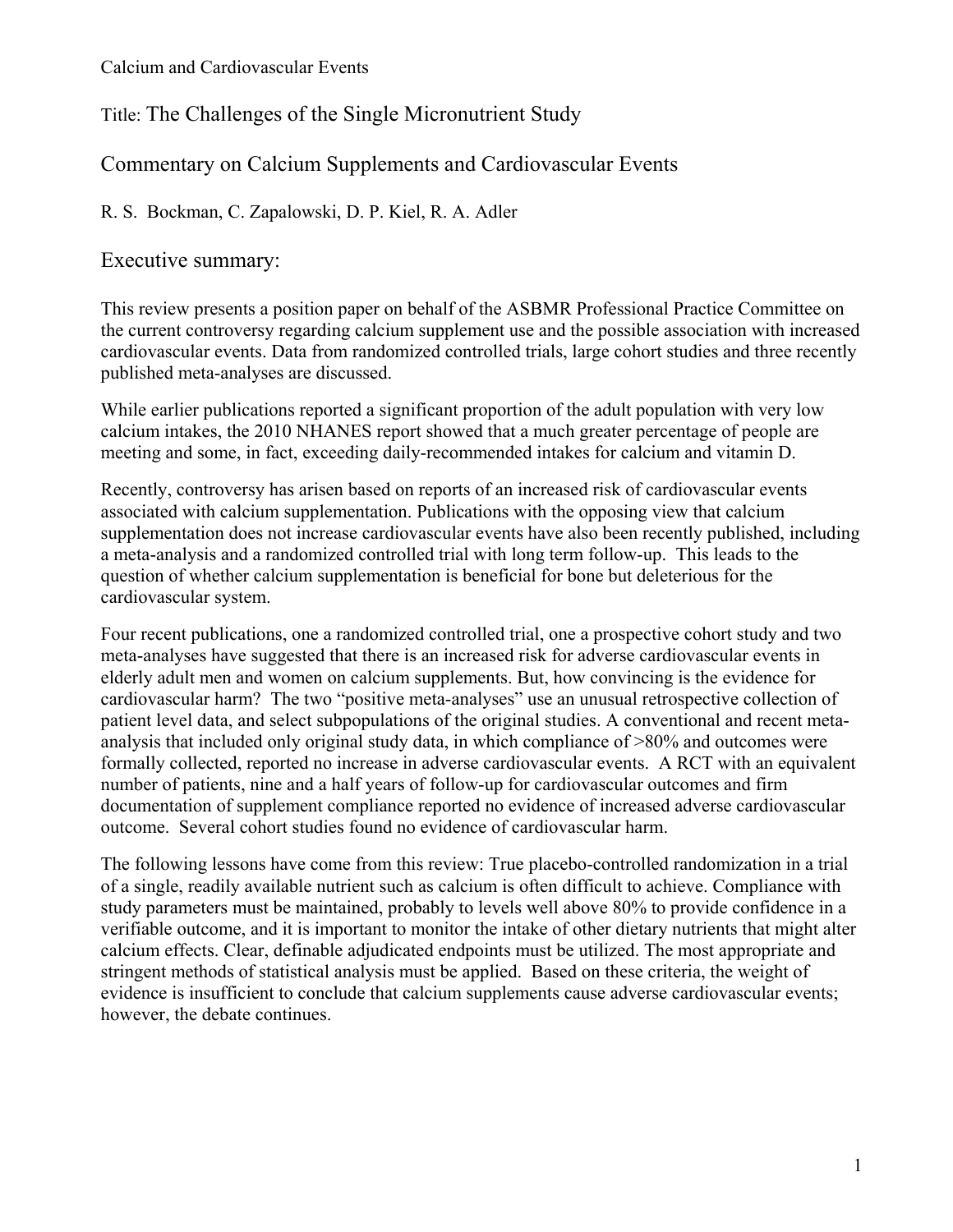Title: The Challenges of the Single Micronutrient Study

Commentary on Calcium Supplements and Cardiovascular Events

R. S. Bockman, C. Zapalowski, D. P. Kiel, R. A. Adler

Executive summary:

This review presents a position paper on behalf of the ASBMR Professional Practice Committee on the current controversy regarding calcium supplement use and the possible association with increased cardiovascular events. Data from randomized controlled trials, large cohort studies and three recently published meta-analyses are discussed.

While earlier publications reported a significant proportion of the adult population with very low calcium intakes, the 2010 NHANES report showed that a much greater percentage of people are meeting and some, in fact, exceeding daily-recommended intakes for calcium and vitamin D.

Recently, controversy has arisen based on reports of an increased risk of cardiovascular events associated with calcium supplementation. Publications with the opposing view that calcium supplementation does not increase cardiovascular events have also been recently published, including a meta-analysis and a randomized controlled trial with long term follow-up. This leads to the question of whether calcium supplementation is beneficial for bone but deleterious for the cardiovascular system.

Four recent publications, one a randomized controlled trial, one a prospective cohort study and two meta-analyses have suggested that there is an increased risk for adverse cardiovascular events in elderly adult men and women on calcium supplements. But, how convincing is the evidence for cardiovascular harm? The two "positive meta-analyses" use an unusual retrospective collection of patient level data, and select subpopulations of the original studies. A conventional and recent metaanalysis that included only original study data, in which compliance of >80% and outcomes were formally collected, reported no increase in adverse cardiovascular events. A RCT with an equivalent number of patients, nine and a half years of follow-up for cardiovascular outcomes and firm documentation of supplement compliance reported no evidence of increased adverse cardiovascular outcome. Several cohort studies found no evidence of cardiovascular harm.

The following lessons have come from this review: True placebo-controlled randomization in a trial of a single, readily available nutrient such as calcium is often difficult to achieve. Compliance with study parameters must be maintained, probably to levels well above 80% to provide confidence in a verifiable outcome, and it is important to monitor the intake of other dietary nutrients that might alter calcium effects. Clear, definable adjudicated endpoints must be utilized. The most appropriate and stringent methods of statistical analysis must be applied. Based on these criteria, the weight of evidence is insufficient to conclude that calcium supplements cause adverse cardiovascular events; however, the debate continues.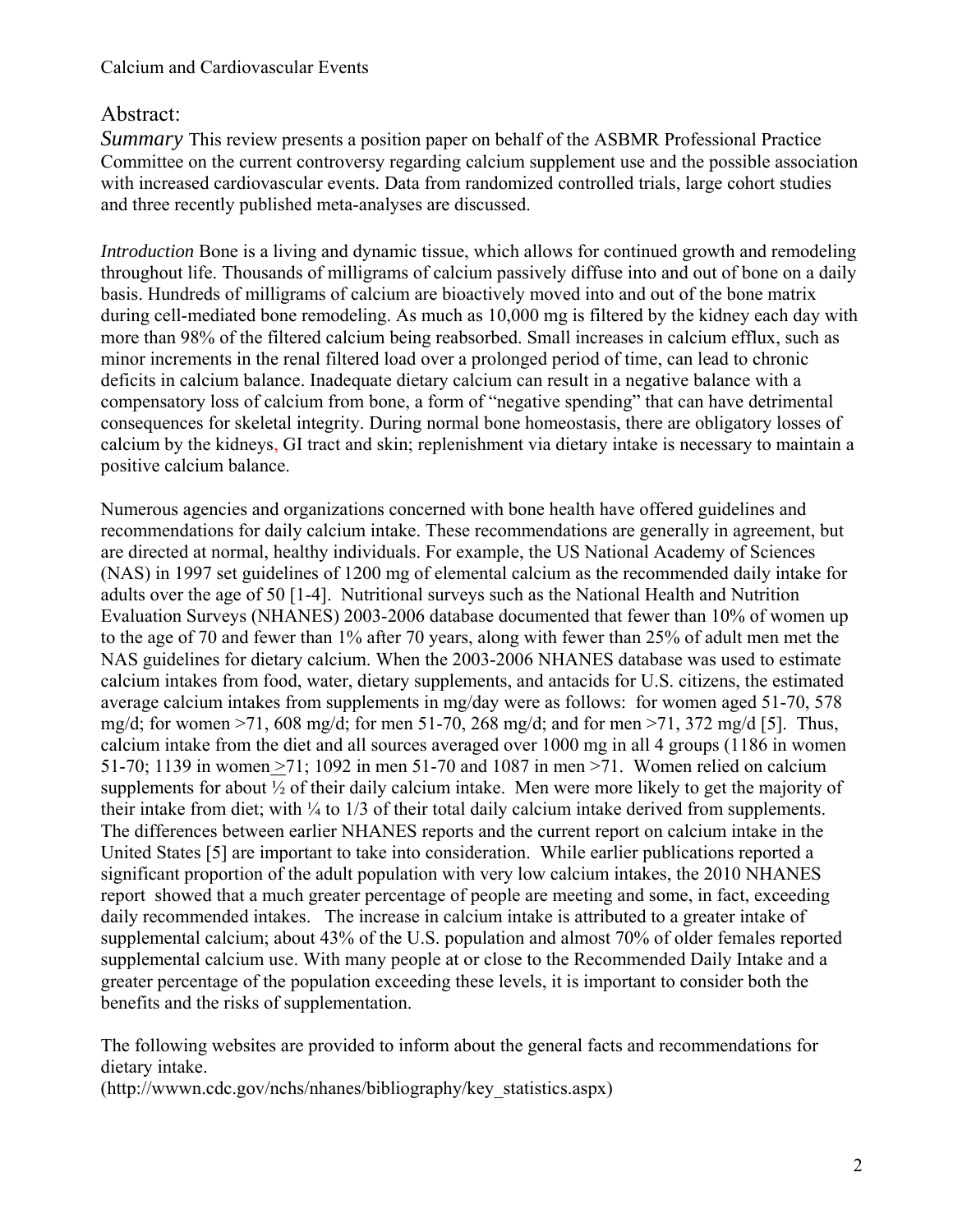# Abstract:

*Summary* This review presents a position paper on behalf of the ASBMR Professional Practice Committee on the current controversy regarding calcium supplement use and the possible association with increased cardiovascular events. Data from randomized controlled trials, large cohort studies and three recently published meta-analyses are discussed.

*Introduction* Bone is a living and dynamic tissue, which allows for continued growth and remodeling throughout life. Thousands of milligrams of calcium passively diffuse into and out of bone on a daily basis. Hundreds of milligrams of calcium are bioactively moved into and out of the bone matrix during cell-mediated bone remodeling. As much as 10,000 mg is filtered by the kidney each day with more than 98% of the filtered calcium being reabsorbed. Small increases in calcium efflux, such as minor increments in the renal filtered load over a prolonged period of time, can lead to chronic deficits in calcium balance. Inadequate dietary calcium can result in a negative balance with a compensatory loss of calcium from bone, a form of "negative spending" that can have detrimental consequences for skeletal integrity. During normal bone homeostasis, there are obligatory losses of calcium by the kidneys, GI tract and skin; replenishment via dietary intake is necessary to maintain a positive calcium balance.

Numerous agencies and organizations concerned with bone health have offered guidelines and recommendations for daily calcium intake. These recommendations are generally in agreement, but are directed at normal, healthy individuals. For example, the US National Academy of Sciences (NAS) in 1997 set guidelines of 1200 mg of elemental calcium as the recommended daily intake for adults over the age of 50 [1-4]. Nutritional surveys such as the National Health and Nutrition Evaluation Surveys (NHANES) 2003-2006 database documented that fewer than 10% of women up to the age of 70 and fewer than 1% after 70 years, along with fewer than 25% of adult men met the NAS guidelines for dietary calcium. When the 2003-2006 NHANES database was used to estimate calcium intakes from food, water, dietary supplements, and antacids for U.S. citizens, the estimated average calcium intakes from supplements in mg/day were as follows: for women aged 51-70, 578 mg/d; for women >71, 608 mg/d; for men 51-70, 268 mg/d; and for men >71, 372 mg/d [5]. Thus, calcium intake from the diet and all sources averaged over 1000 mg in all 4 groups (1186 in women 51-70; 1139 in women >71; 1092 in men 51-70 and 1087 in men >71. Women relied on calcium supplements for about ½ of their daily calcium intake. Men were more likely to get the majority of their intake from diet; with  $\frac{1}{4}$  to  $\frac{1}{3}$  of their total daily calcium intake derived from supplements. The differences between earlier NHANES reports and the current report on calcium intake in the United States [5] are important to take into consideration. While earlier publications reported a significant proportion of the adult population with very low calcium intakes, the 2010 NHANES report showed that a much greater percentage of people are meeting and some, in fact, exceeding daily recommended intakes. The increase in calcium intake is attributed to a greater intake of supplemental calcium; about 43% of the U.S. population and almost 70% of older females reported supplemental calcium use. With many people at or close to the Recommended Daily Intake and a greater percentage of the population exceeding these levels, it is important to consider both the benefits and the risks of supplementation.

The following websites are provided to inform about the general facts and recommendations for dietary intake.

(http://wwwn.cdc.gov/nchs/nhanes/bibliography/key\_statistics.aspx)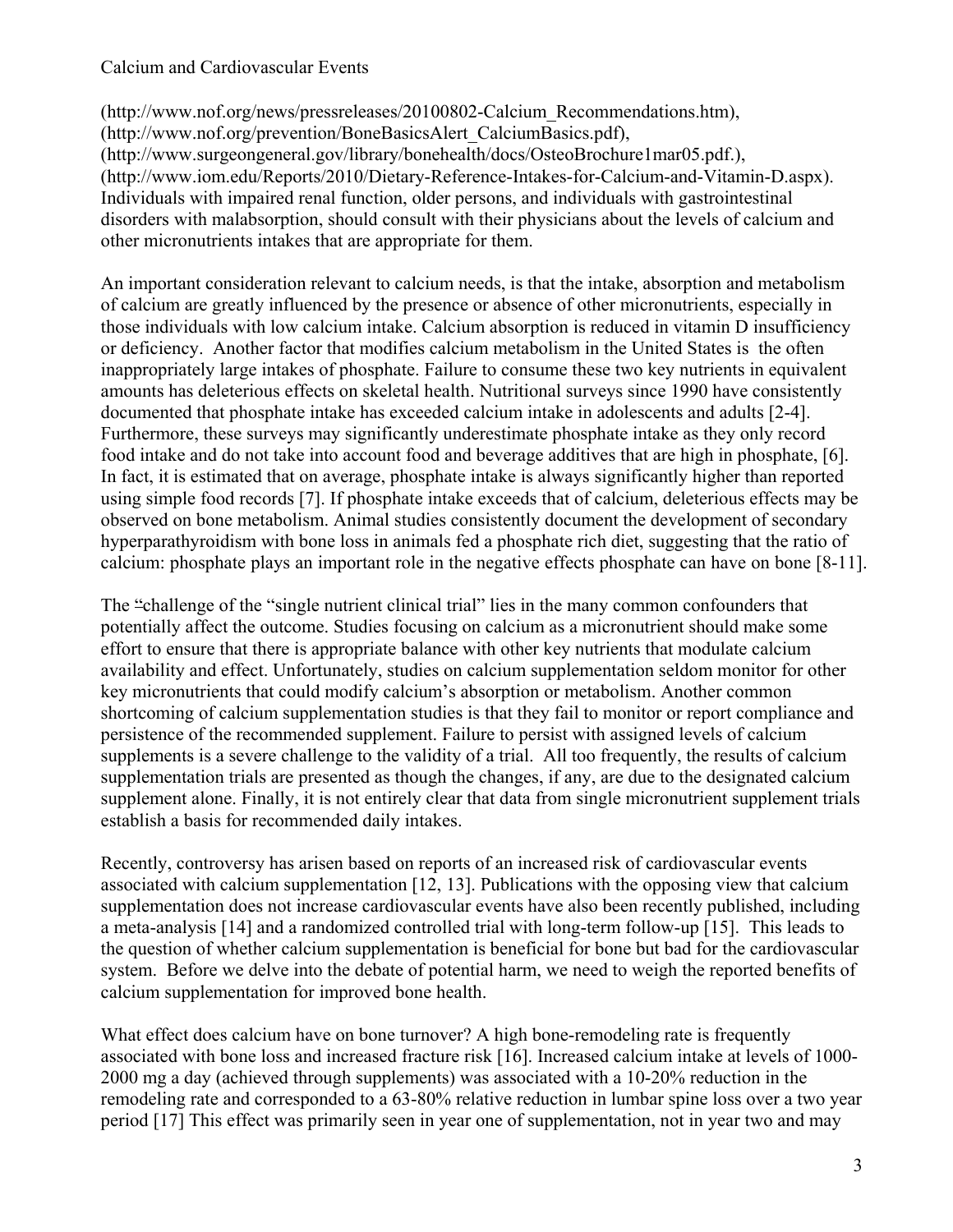(http://www.nof.org/news/pressreleases/20100802-Calcium\_Recommendations.htm), (http://www.nof.org/prevention/BoneBasicsAlert\_CalciumBasics.pdf), (http://www.surgeongeneral.gov/library/bonehealth/docs/OsteoBrochure1mar05.pdf.), (http://www.iom.edu/Reports/2010/Dietary-Reference-Intakes-for-Calcium-and-Vitamin-D.aspx). Individuals with impaired renal function, older persons, and individuals with gastrointestinal disorders with malabsorption, should consult with their physicians about the levels of calcium and other micronutrients intakes that are appropriate for them.

An important consideration relevant to calcium needs, is that the intake, absorption and metabolism of calcium are greatly influenced by the presence or absence of other micronutrients, especially in those individuals with low calcium intake. Calcium absorption is reduced in vitamin D insufficiency or deficiency. Another factor that modifies calcium metabolism in the United States is the often inappropriately large intakes of phosphate. Failure to consume these two key nutrients in equivalent amounts has deleterious effects on skeletal health. Nutritional surveys since 1990 have consistently documented that phosphate intake has exceeded calcium intake in adolescents and adults [2-4]. Furthermore, these surveys may significantly underestimate phosphate intake as they only record food intake and do not take into account food and beverage additives that are high in phosphate, [6]. In fact, it is estimated that on average, phosphate intake is always significantly higher than reported using simple food records [7]. If phosphate intake exceeds that of calcium, deleterious effects may be observed on bone metabolism. Animal studies consistently document the development of secondary hyperparathyroidism with bone loss in animals fed a phosphate rich diet, suggesting that the ratio of calcium: phosphate plays an important role in the negative effects phosphate can have on bone [8-11].

The "challenge of the "single nutrient clinical trial" lies in the many common confounders that potentially affect the outcome. Studies focusing on calcium as a micronutrient should make some effort to ensure that there is appropriate balance with other key nutrients that modulate calcium availability and effect. Unfortunately, studies on calcium supplementation seldom monitor for other key micronutrients that could modify calcium's absorption or metabolism. Another common shortcoming of calcium supplementation studies is that they fail to monitor or report compliance and persistence of the recommended supplement. Failure to persist with assigned levels of calcium supplements is a severe challenge to the validity of a trial. All too frequently, the results of calcium supplementation trials are presented as though the changes, if any, are due to the designated calcium supplement alone. Finally, it is not entirely clear that data from single micronutrient supplement trials establish a basis for recommended daily intakes.

Recently, controversy has arisen based on reports of an increased risk of cardiovascular events associated with calcium supplementation [12, 13]. Publications with the opposing view that calcium supplementation does not increase cardiovascular events have also been recently published, including a meta-analysis [14] and a randomized controlled trial with long-term follow-up [15]. This leads to the question of whether calcium supplementation is beneficial for bone but bad for the cardiovascular system. Before we delve into the debate of potential harm, we need to weigh the reported benefits of calcium supplementation for improved bone health.

What effect does calcium have on bone turnover? A high bone-remodeling rate is frequently associated with bone loss and increased fracture risk [16]. Increased calcium intake at levels of 1000- 2000 mg a day (achieved through supplements) was associated with a 10-20% reduction in the remodeling rate and corresponded to a 63-80% relative reduction in lumbar spine loss over a two year period [17] This effect was primarily seen in year one of supplementation, not in year two and may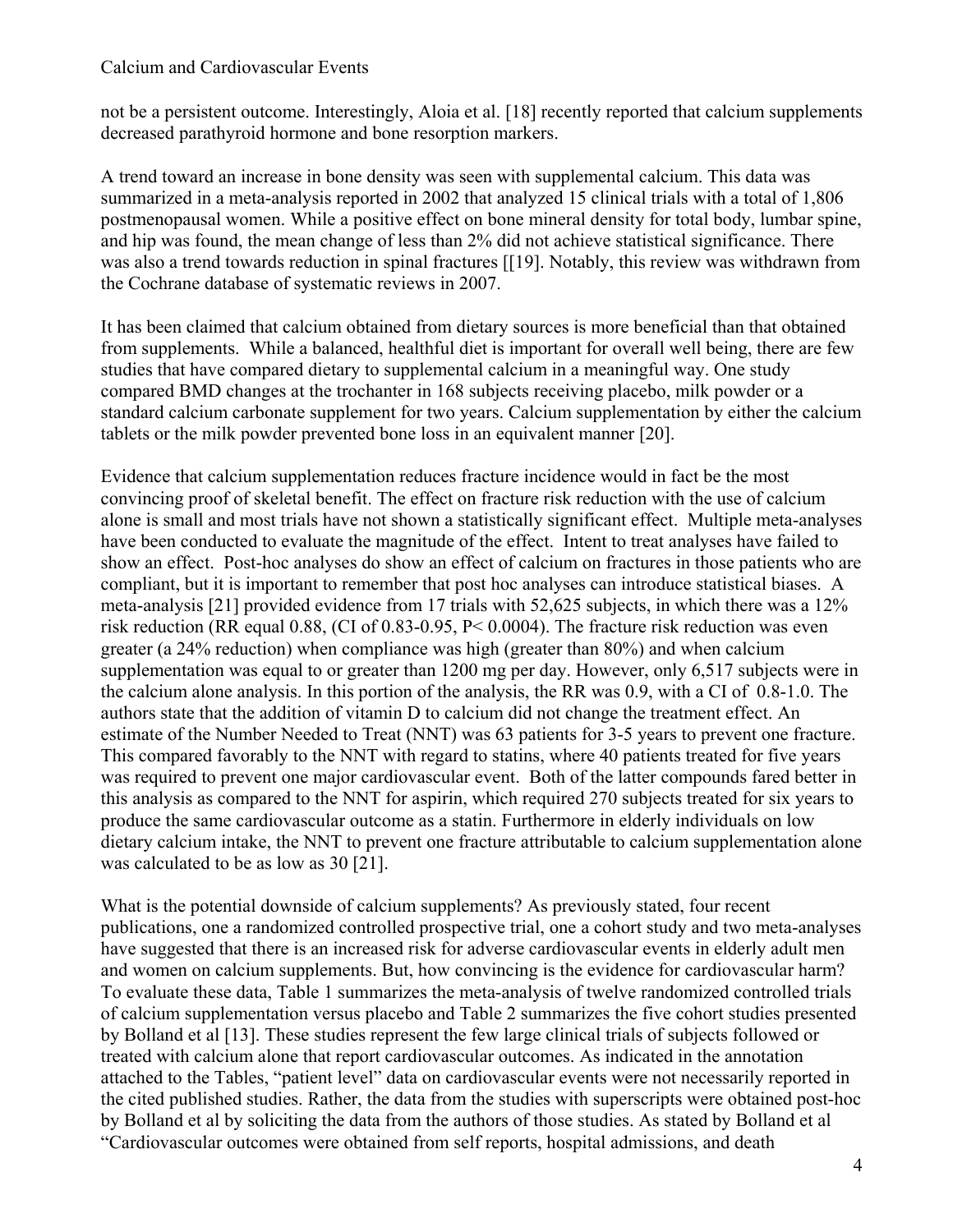not be a persistent outcome. Interestingly, Aloia et al. [18] recently reported that calcium supplements decreased parathyroid hormone and bone resorption markers.

A trend toward an increase in bone density was seen with supplemental calcium. This data was summarized in a meta-analysis reported in 2002 that analyzed 15 clinical trials with a total of 1,806 postmenopausal women. While a positive effect on bone mineral density for total body, lumbar spine, and hip was found, the mean change of less than 2% did not achieve statistical significance. There was also a trend towards reduction in spinal fractures [[19]. Notably, this review was withdrawn from the Cochrane database of systematic reviews in 2007.

It has been claimed that calcium obtained from dietary sources is more beneficial than that obtained from supplements. While a balanced, healthful diet is important for overall well being, there are few studies that have compared dietary to supplemental calcium in a meaningful way. One study compared BMD changes at the trochanter in 168 subjects receiving placebo, milk powder or a standard calcium carbonate supplement for two years. Calcium supplementation by either the calcium tablets or the milk powder prevented bone loss in an equivalent manner [20].

Evidence that calcium supplementation reduces fracture incidence would in fact be the most convincing proof of skeletal benefit. The effect on fracture risk reduction with the use of calcium alone is small and most trials have not shown a statistically significant effect. Multiple meta-analyses have been conducted to evaluate the magnitude of the effect. Intent to treat analyses have failed to show an effect. Post-hoc analyses do show an effect of calcium on fractures in those patients who are compliant, but it is important to remember that post hoc analyses can introduce statistical biases. A meta-analysis [21] provided evidence from 17 trials with 52,625 subjects, in which there was a 12% risk reduction (RR equal 0.88, (CI of 0.83-0.95, P< 0.0004). The fracture risk reduction was even greater (a 24% reduction) when compliance was high (greater than 80%) and when calcium supplementation was equal to or greater than 1200 mg per day. However, only 6,517 subjects were in the calcium alone analysis. In this portion of the analysis, the RR was 0.9, with a CI of 0.8-1.0. The authors state that the addition of vitamin D to calcium did not change the treatment effect. An estimate of the Number Needed to Treat (NNT) was 63 patients for 3-5 years to prevent one fracture. This compared favorably to the NNT with regard to statins, where 40 patients treated for five years was required to prevent one major cardiovascular event. Both of the latter compounds fared better in this analysis as compared to the NNT for aspirin, which required 270 subjects treated for six years to produce the same cardiovascular outcome as a statin. Furthermore in elderly individuals on low dietary calcium intake, the NNT to prevent one fracture attributable to calcium supplementation alone was calculated to be as low as 30 [21].

What is the potential downside of calcium supplements? As previously stated, four recent publications, one a randomized controlled prospective trial, one a cohort study and two meta-analyses have suggested that there is an increased risk for adverse cardiovascular events in elderly adult men and women on calcium supplements. But, how convincing is the evidence for cardiovascular harm? To evaluate these data, Table 1 summarizes the meta-analysis of twelve randomized controlled trials of calcium supplementation versus placebo and Table 2 summarizes the five cohort studies presented by Bolland et al [13]. These studies represent the few large clinical trials of subjects followed or treated with calcium alone that report cardiovascular outcomes. As indicated in the annotation attached to the Tables, "patient level" data on cardiovascular events were not necessarily reported in the cited published studies. Rather, the data from the studies with superscripts were obtained post-hoc by Bolland et al by soliciting the data from the authors of those studies. As stated by Bolland et al "Cardiovascular outcomes were obtained from self reports, hospital admissions, and death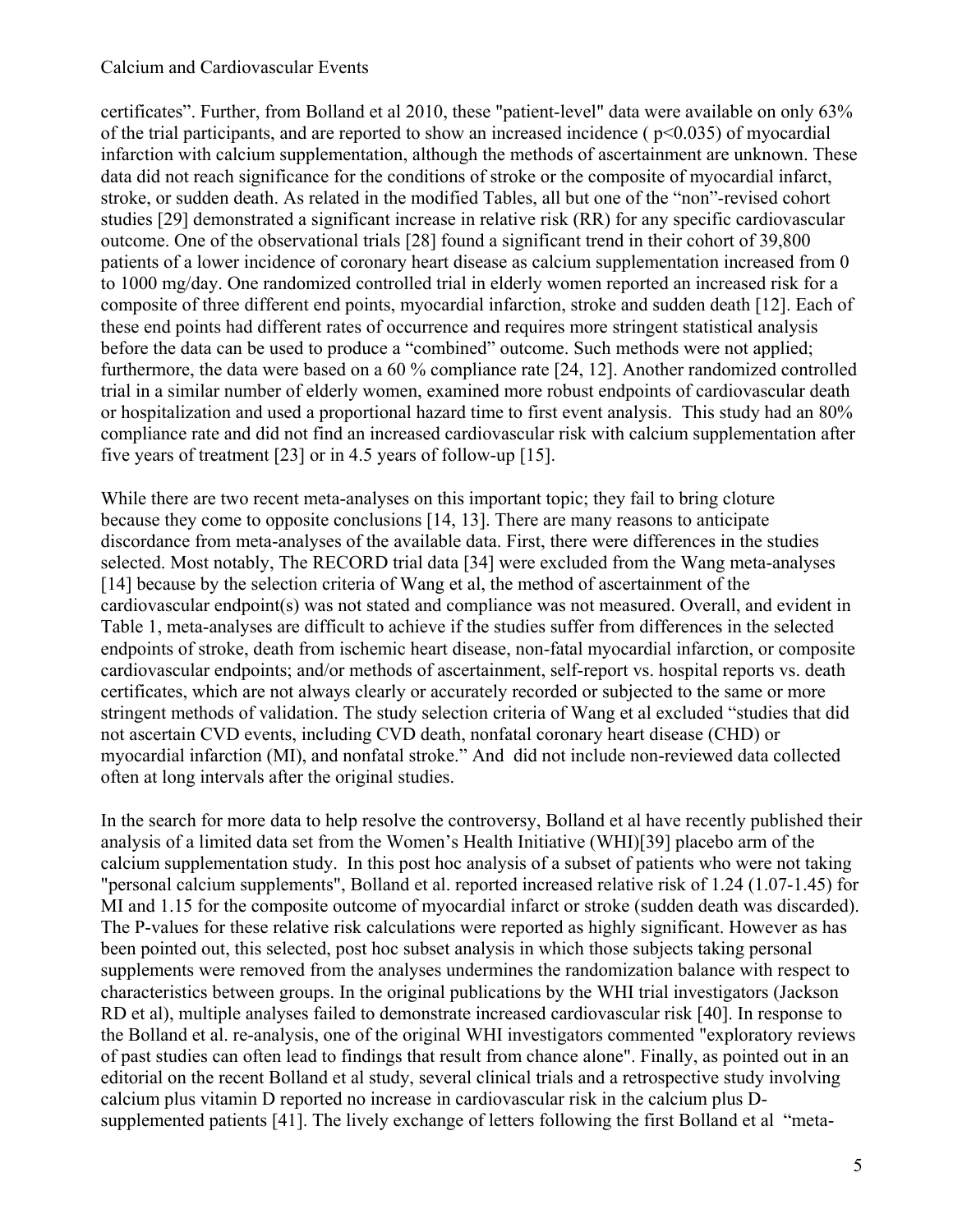certificates". Further, from Bolland et al 2010, these "patient-level" data were available on only 63% of the trial participants, and are reported to show an increased incidence ( $p<0.035$ ) of myocardial infarction with calcium supplementation, although the methods of ascertainment are unknown. These data did not reach significance for the conditions of stroke or the composite of myocardial infarct, stroke, or sudden death. As related in the modified Tables, all but one of the "non"-revised cohort studies [29] demonstrated a significant increase in relative risk (RR) for any specific cardiovascular outcome. One of the observational trials [28] found a significant trend in their cohort of 39,800 patients of a lower incidence of coronary heart disease as calcium supplementation increased from 0 to 1000 mg/day. One randomized controlled trial in elderly women reported an increased risk for a composite of three different end points, myocardial infarction, stroke and sudden death [12]. Each of these end points had different rates of occurrence and requires more stringent statistical analysis before the data can be used to produce a "combined" outcome. Such methods were not applied; furthermore, the data were based on a 60 % compliance rate [24, 12]. Another randomized controlled trial in a similar number of elderly women, examined more robust endpoints of cardiovascular death or hospitalization and used a proportional hazard time to first event analysis. This study had an 80% compliance rate and did not find an increased cardiovascular risk with calcium supplementation after five years of treatment [23] or in 4.5 years of follow-up [15].

While there are two recent meta-analyses on this important topic; they fail to bring cloture because they come to opposite conclusions [14, 13]. There are many reasons to anticipate discordance from meta-analyses of the available data. First, there were differences in the studies selected. Most notably, The RECORD trial data [34] were excluded from the Wang meta-analyses [14] because by the selection criteria of Wang et al, the method of ascertainment of the cardiovascular endpoint(s) was not stated and compliance was not measured. Overall, and evident in Table 1, meta-analyses are difficult to achieve if the studies suffer from differences in the selected endpoints of stroke, death from ischemic heart disease, non-fatal myocardial infarction, or composite cardiovascular endpoints; and/or methods of ascertainment, self-report vs. hospital reports vs. death certificates, which are not always clearly or accurately recorded or subjected to the same or more stringent methods of validation. The study selection criteria of Wang et al excluded "studies that did not ascertain CVD events, including CVD death, nonfatal coronary heart disease (CHD) or myocardial infarction (MI), and nonfatal stroke." And did not include non-reviewed data collected often at long intervals after the original studies.

In the search for more data to help resolve the controversy, Bolland et al have recently published their analysis of a limited data set from the Women's Health Initiative (WHI)[39] placebo arm of the calcium supplementation study. In this post hoc analysis of a subset of patients who were not taking "personal calcium supplements", Bolland et al. reported increased relative risk of 1.24 (1.07-1.45) for MI and 1.15 for the composite outcome of myocardial infarct or stroke (sudden death was discarded). The P-values for these relative risk calculations were reported as highly significant. However as has been pointed out, this selected, post hoc subset analysis in which those subjects taking personal supplements were removed from the analyses undermines the randomization balance with respect to characteristics between groups. In the original publications by the WHI trial investigators (Jackson RD et al), multiple analyses failed to demonstrate increased cardiovascular risk [40]. In response to the Bolland et al. re-analysis, one of the original WHI investigators commented "exploratory reviews of past studies can often lead to findings that result from chance alone". Finally, as pointed out in an editorial on the recent Bolland et al study, several clinical trials and a retrospective study involving calcium plus vitamin D reported no increase in cardiovascular risk in the calcium plus Dsupplemented patients [41]. The lively exchange of letters following the first Bolland et al "meta-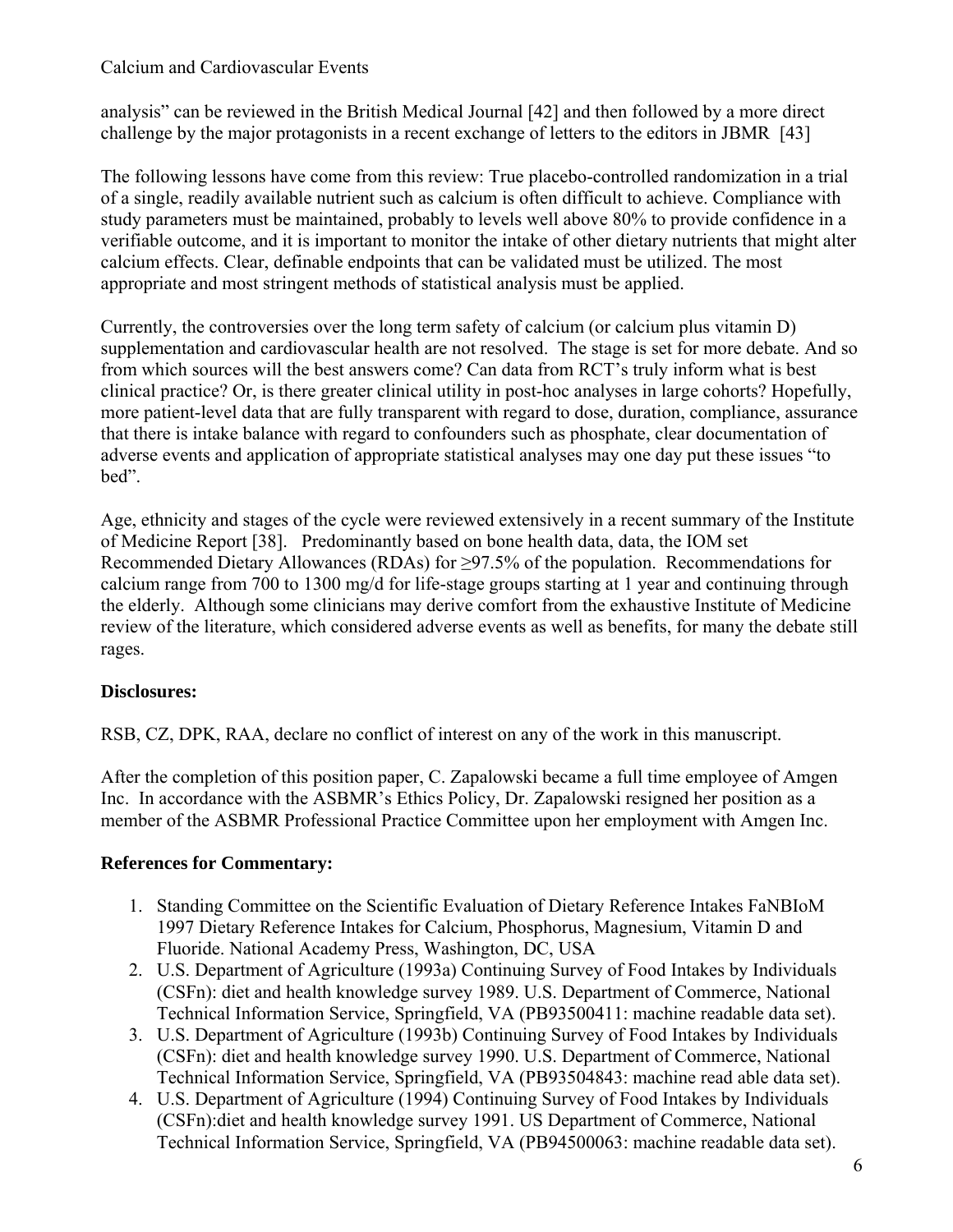analysis" can be reviewed in the British Medical Journal [42] and then followed by a more direct challenge by the major protagonists in a recent exchange of letters to the editors in JBMR [43]

The following lessons have come from this review: True placebo-controlled randomization in a trial of a single, readily available nutrient such as calcium is often difficult to achieve. Compliance with study parameters must be maintained, probably to levels well above 80% to provide confidence in a verifiable outcome, and it is important to monitor the intake of other dietary nutrients that might alter calcium effects. Clear, definable endpoints that can be validated must be utilized. The most appropriate and most stringent methods of statistical analysis must be applied.

Currently, the controversies over the long term safety of calcium (or calcium plus vitamin D) supplementation and cardiovascular health are not resolved. The stage is set for more debate. And so from which sources will the best answers come? Can data from RCT's truly inform what is best clinical practice? Or, is there greater clinical utility in post-hoc analyses in large cohorts? Hopefully, more patient-level data that are fully transparent with regard to dose, duration, compliance, assurance that there is intake balance with regard to confounders such as phosphate, clear documentation of adverse events and application of appropriate statistical analyses may one day put these issues "to bed".

Age, ethnicity and stages of the cycle were reviewed extensively in a recent summary of the Institute of Medicine Report [38]. Predominantly based on bone health data, data, the IOM set Recommended Dietary Allowances (RDAs) for  $\geq$ 97.5% of the population. Recommendations for calcium range from 700 to 1300 mg/d for life-stage groups starting at 1 year and continuing through the elderly. Although some clinicians may derive comfort from the exhaustive Institute of Medicine review of the literature, which considered adverse events as well as benefits, for many the debate still rages.

### **Disclosures:**

RSB, CZ, DPK, RAA, declare no conflict of interest on any of the work in this manuscript.

After the completion of this position paper, C. Zapalowski became a full time employee of Amgen Inc. In accordance with the ASBMR's Ethics Policy, Dr. Zapalowski resigned her position as a member of the ASBMR Professional Practice Committee upon her employment with Amgen Inc.

### **References for Commentary:**

- 1. Standing Committee on the Scientific Evaluation of Dietary Reference Intakes FaNBIoM 1997 Dietary Reference Intakes for Calcium, Phosphorus, Magnesium, Vitamin D and Fluoride. National Academy Press, Washington, DC, USA
- 2. U.S. Department of Agriculture (1993a) Continuing Survey of Food Intakes by Individuals (CSFn): diet and health knowledge survey 1989. U.S. Department of Commerce, National Technical Information Service, Springfield, VA (PB93500411: machine readable data set).
- 3. U.S. Department of Agriculture (1993b) Continuing Survey of Food Intakes by Individuals (CSFn): diet and health knowledge survey 1990. U.S. Department of Commerce, National Technical Information Service, Springfield, VA (PB93504843: machine read able data set).
- 4. U.S. Department of Agriculture (1994) Continuing Survey of Food Intakes by Individuals (CSFn):diet and health knowledge survey 1991. US Department of Commerce, National Technical Information Service, Springfield, VA (PB94500063: machine readable data set).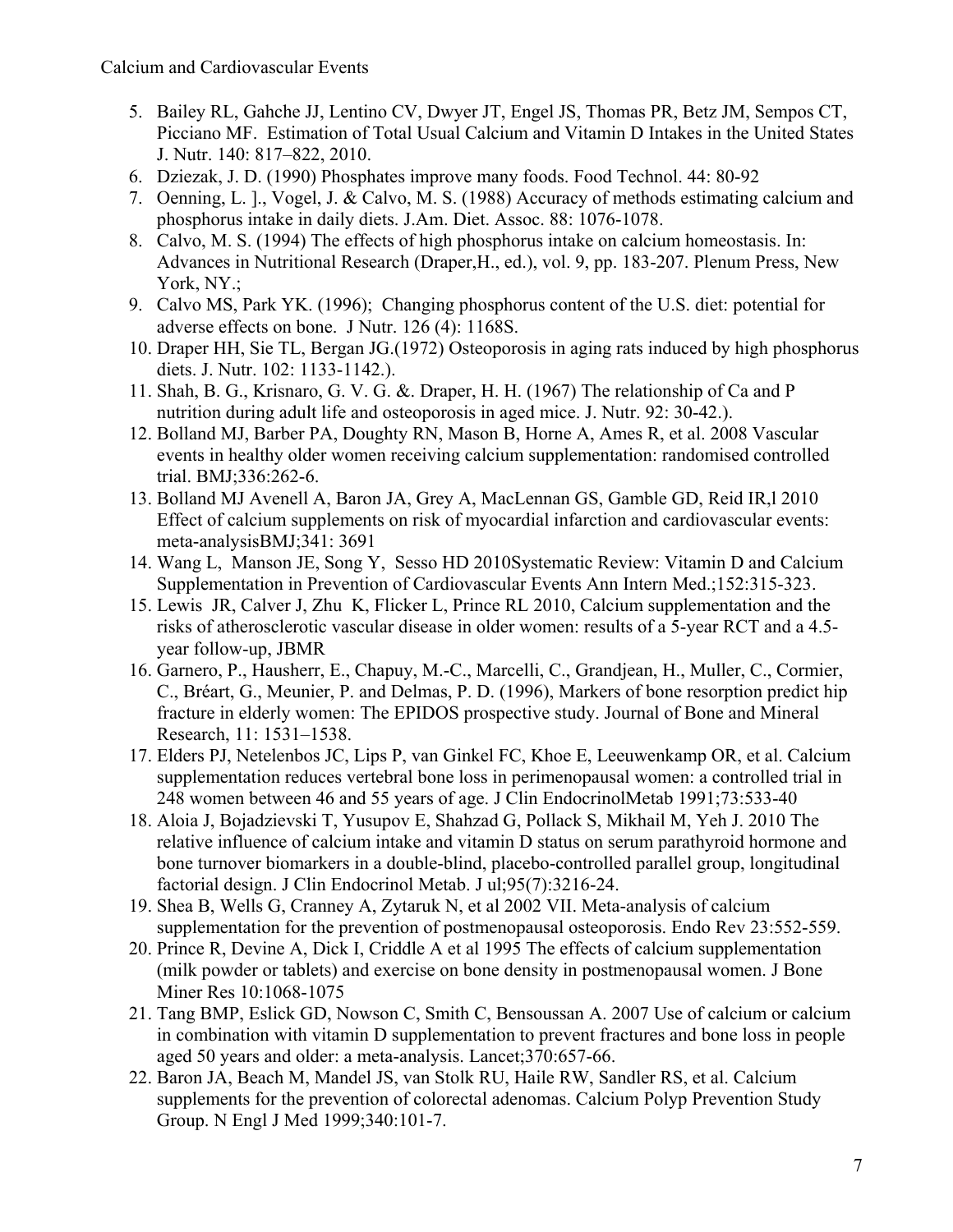- 5. Bailey RL, Gahche JJ, Lentino CV, Dwyer JT, Engel JS, Thomas PR, Betz JM, Sempos CT, Picciano MF. Estimation of Total Usual Calcium and Vitamin D Intakes in the United States J. Nutr. 140: 817–822, 2010.
- 6. Dziezak, J. D. (1990) Phosphates improve many foods. Food Technol. 44: 80-92
- 7. Oenning, L. ]., Vogel, J. & Calvo, M. S. (1988) Accuracy of methods estimating calcium and phosphorus intake in daily diets. J.Am. Diet. Assoc. 88: 1076-1078.
- 8. Calvo, M. S. (1994) The effects of high phosphorus intake on calcium homeostasis. In: Advances in Nutritional Research (Draper,H., ed.), vol. 9, pp. 183-207. Plenum Press, New York, NY.:
- 9. Calvo MS, Park YK. (1996); Changing phosphorus content of the U.S. diet: potential for adverse effects on bone. J Nutr. 126 (4): 1168S.
- 10. Draper HH, Sie TL, Bergan JG.(1972) Osteoporosis in aging rats induced by high phosphorus diets. J. Nutr. 102: 1133-1142.).
- 11. Shah, B. G., Krisnaro, G. V. G. &. Draper, H. H. (1967) The relationship of Ca and P nutrition during adult life and osteoporosis in aged mice. J. Nutr. 92: 30-42.).
- 12. Bolland MJ, Barber PA, Doughty RN, Mason B, Horne A, Ames R, et al. 2008 Vascular events in healthy older women receiving calcium supplementation: randomised controlled trial. BMJ;336:262-6.
- 13. Bolland MJ Avenell A, Baron JA, Grey A, MacLennan GS, Gamble GD, Reid IR,l 2010 Effect of calcium supplements on risk of myocardial infarction and cardiovascular events: meta-analysisBMJ;341: 3691
- 14. Wang L, Manson JE, Song Y, Sesso HD 2010Systematic Review: Vitamin D and Calcium Supplementation in Prevention of Cardiovascular Events Ann Intern Med.;152:315-323.
- 15. Lewis JR, Calver J, Zhu K, Flicker L, Prince RL 2010, Calcium supplementation and the risks of atherosclerotic vascular disease in older women: results of a 5-year RCT and a 4.5 year follow-up, JBMR
- 16. Garnero, P., Hausherr, E., Chapuy, M.-C., Marcelli, C., Grandjean, H., Muller, C., Cormier, C., Bréart, G., Meunier, P. and Delmas, P. D. (1996), Markers of bone resorption predict hip fracture in elderly women: The EPIDOS prospective study. Journal of Bone and Mineral Research, 11: 1531–1538.
- 17. Elders PJ, Netelenbos JC, Lips P, van Ginkel FC, Khoe E, Leeuwenkamp OR, et al. Calcium supplementation reduces vertebral bone loss in perimenopausal women: a controlled trial in 248 women between 46 and 55 years of age. J Clin EndocrinolMetab 1991;73:533-40
- 18. Aloia J, Bojadzievski T, Yusupov E, Shahzad G, Pollack S, Mikhail M, Yeh J. 2010 The relative influence of calcium intake and vitamin D status on serum parathyroid hormone and bone turnover biomarkers in a double-blind, placebo-controlled parallel group, longitudinal factorial design. J Clin Endocrinol Metab. J ul;95(7):3216-24.
- 19. Shea B, Wells G, Cranney A, Zytaruk N, et al 2002 VII. Meta-analysis of calcium supplementation for the prevention of postmenopausal osteoporosis. Endo Rev 23:552-559.
- 20. Prince R, Devine A, Dick I, Criddle A et al 1995 The effects of calcium supplementation (milk powder or tablets) and exercise on bone density in postmenopausal women. J Bone Miner Res 10:1068-1075
- 21. Tang BMP, Eslick GD, Nowson C, Smith C, Bensoussan A. 2007 Use of calcium or calcium in combination with vitamin D supplementation to prevent fractures and bone loss in people aged 50 years and older: a meta-analysis. Lancet;370:657-66.
- 22. Baron JA, Beach M, Mandel JS, van Stolk RU, Haile RW, Sandler RS, et al. Calcium supplements for the prevention of colorectal adenomas. Calcium Polyp Prevention Study Group. N Engl J Med 1999;340:101-7.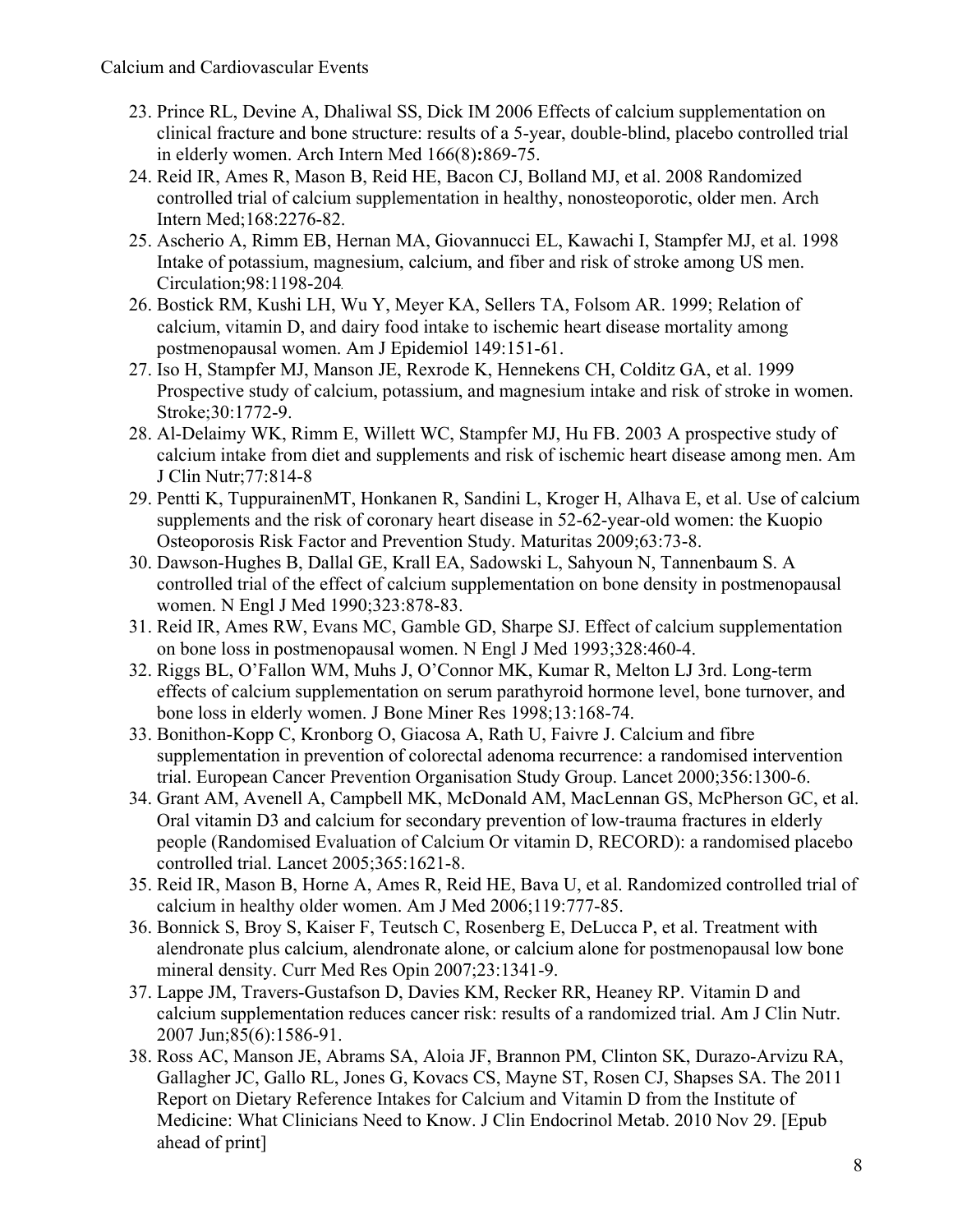- 23. Prince RL, Devine A, Dhaliwal SS, Dick IM 2006 Effects of calcium supplementation on clinical fracture and bone structure: results of a 5-year, double-blind, placebo controlled trial in elderly women. Arch Intern Med 166(8)**:**869-75.
- 24. Reid IR, Ames R, Mason B, Reid HE, Bacon CJ, Bolland MJ, et al. 2008 Randomized controlled trial of calcium supplementation in healthy, nonosteoporotic, older men. Arch Intern Med;168:2276-82.
- 25. Ascherio A, Rimm EB, Hernan MA, Giovannucci EL, Kawachi I, Stampfer MJ, et al. 1998 Intake of potassium, magnesium, calcium, and fiber and risk of stroke among US men. Circulation;98:1198-204.
- 26. Bostick RM, Kushi LH, Wu Y, Meyer KA, Sellers TA, Folsom AR. 1999; Relation of calcium, vitamin D, and dairy food intake to ischemic heart disease mortality among postmenopausal women. Am J Epidemiol 149:151-61.
- 27. Iso H, Stampfer MJ, Manson JE, Rexrode K, Hennekens CH, Colditz GA, et al. 1999 Prospective study of calcium, potassium, and magnesium intake and risk of stroke in women. Stroke;30:1772-9.
- 28. Al-Delaimy WK, Rimm E, Willett WC, Stampfer MJ, Hu FB. 2003 A prospective study of calcium intake from diet and supplements and risk of ischemic heart disease among men. Am J Clin Nutr;77:814-8
- 29. Pentti K, TuppurainenMT, Honkanen R, Sandini L, Kroger H, Alhava E, et al. Use of calcium supplements and the risk of coronary heart disease in 52-62-year-old women: the Kuopio Osteoporosis Risk Factor and Prevention Study. Maturitas 2009;63:73-8.
- 30. Dawson-Hughes B, Dallal GE, Krall EA, Sadowski L, Sahyoun N, Tannenbaum S. A controlled trial of the effect of calcium supplementation on bone density in postmenopausal women. N Engl J Med 1990;323:878-83.
- 31. Reid IR, Ames RW, Evans MC, Gamble GD, Sharpe SJ. Effect of calcium supplementation on bone loss in postmenopausal women. N Engl J Med 1993;328:460-4.
- 32. Riggs BL, O'Fallon WM, Muhs J, O'Connor MK, Kumar R, Melton LJ 3rd. Long-term effects of calcium supplementation on serum parathyroid hormone level, bone turnover, and bone loss in elderly women. J Bone Miner Res 1998;13:168-74.
- 33. Bonithon-Kopp C, Kronborg O, Giacosa A, Rath U, Faivre J. Calcium and fibre supplementation in prevention of colorectal adenoma recurrence: a randomised intervention trial. European Cancer Prevention Organisation Study Group. Lancet 2000;356:1300-6.
- 34. Grant AM, Avenell A, Campbell MK, McDonald AM, MacLennan GS, McPherson GC, et al. Oral vitamin D3 and calcium for secondary prevention of low-trauma fractures in elderly people (Randomised Evaluation of Calcium Or vitamin D, RECORD): a randomised placebo controlled trial. Lancet 2005;365:1621-8.
- 35. Reid IR, Mason B, Horne A, Ames R, Reid HE, Bava U, et al. Randomized controlled trial of calcium in healthy older women. Am J Med 2006;119:777-85.
- 36. Bonnick S, Broy S, Kaiser F, Teutsch C, Rosenberg E, DeLucca P, et al. Treatment with alendronate plus calcium, alendronate alone, or calcium alone for postmenopausal low bone mineral density. Curr Med Res Opin 2007;23:1341-9.
- 37. Lappe JM, Travers-Gustafson D, Davies KM, Recker RR, Heaney RP. Vitamin D and calcium supplementation reduces cancer risk: results of a randomized trial. Am J Clin Nutr. 2007 Jun;85(6):1586-91.
- 38. Ross AC, Manson JE, Abrams SA, Aloia JF, Brannon PM, Clinton SK, Durazo-Arvizu RA, Gallagher JC, Gallo RL, Jones G, Kovacs CS, Mayne ST, Rosen CJ, Shapses SA. The 2011 Report on Dietary Reference Intakes for Calcium and Vitamin D from the Institute of Medicine: What Clinicians Need to Know. J Clin Endocrinol Metab. 2010 Nov 29. [Epub ahead of print]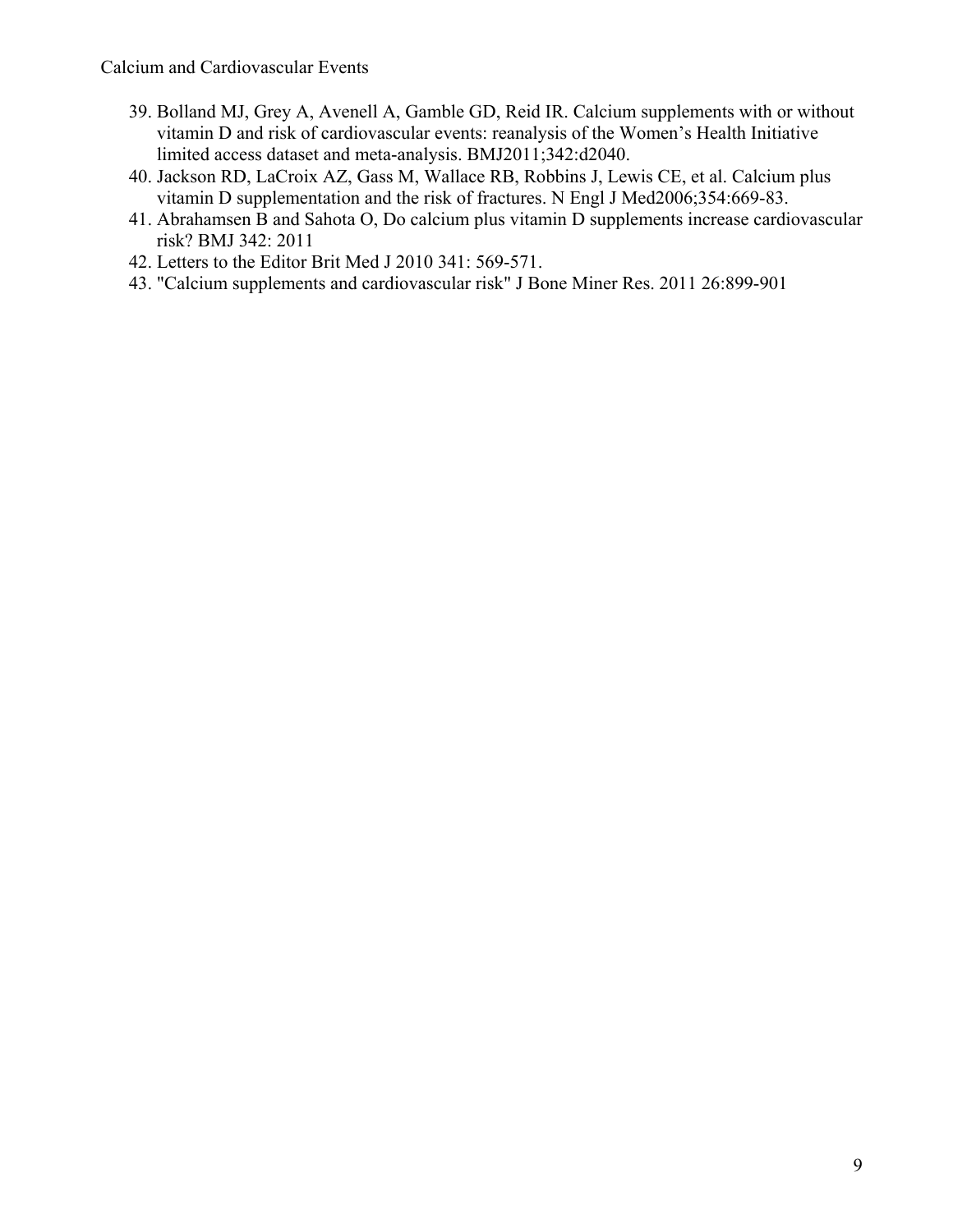- 39. Bolland MJ, Grey A, Avenell A, Gamble GD, Reid IR. Calcium supplements with or without vitamin D and risk of cardiovascular events: reanalysis of the Women's Health Initiative limited access dataset and meta-analysis. BMJ2011;342:d2040.
- 40. Jackson RD, LaCroix AZ, Gass M, Wallace RB, Robbins J, Lewis CE, et al. Calcium plus vitamin D supplementation and the risk of fractures. N Engl J Med2006;354:669-83.
- 41. Abrahamsen B and Sahota O, Do calcium plus vitamin D supplements increase cardiovascular risk? BMJ 342: 2011
- 42. Letters to the Editor Brit Med J 2010 341: 569-571.
- 43. "Calcium supplements and cardiovascular risk" J Bone Miner Res. 2011 26:899-901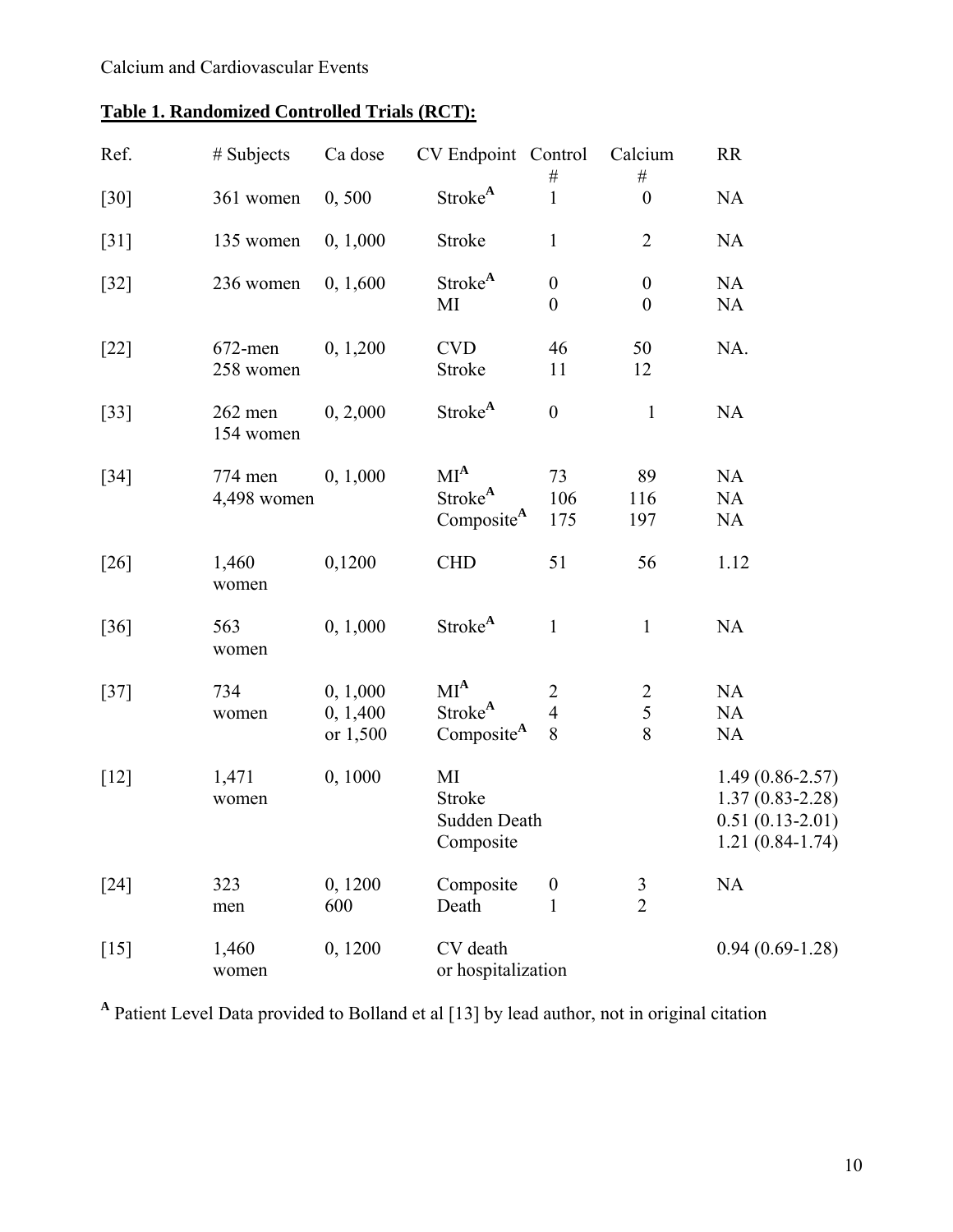| Ref.               | $#$ Subjects            | Ca dose                          | CV Endpoint Control                                     |                                       | Calcium<br>$\#$                      | <b>RR</b>                                                                            |
|--------------------|-------------------------|----------------------------------|---------------------------------------------------------|---------------------------------------|--------------------------------------|--------------------------------------------------------------------------------------|
| $\lceil 30 \rceil$ | 361 women               | 0, 500                           | Stroke <sup>A</sup>                                     | $\#$<br>$\mathbf{1}$                  | $\boldsymbol{0}$                     | <b>NA</b>                                                                            |
| $[31]$             | 135 women               | 0, 1,000                         | Stroke                                                  | $\mathbf{1}$                          | $\overline{2}$                       | NA                                                                                   |
| $[32]$             | 236 women               | 0, 1,600                         | Stroke <sup>A</sup><br>MI                               | $\boldsymbol{0}$<br>$\boldsymbol{0}$  | $\boldsymbol{0}$<br>$\boldsymbol{0}$ | <b>NA</b><br><b>NA</b>                                                               |
| $[22]$             | $672$ -men<br>258 women | 0, 1, 200                        | <b>CVD</b><br>Stroke                                    | 46<br>11                              | 50<br>12                             | NA.                                                                                  |
| $[33]$             | $262$ men<br>154 women  | 0, 2,000                         | Stroke <sup>A</sup>                                     | $\boldsymbol{0}$                      | $\mathbf{1}$                         | <b>NA</b>                                                                            |
| $[34]$             | 774 men<br>4,498 women  | 0, 1,000                         | $MI^A$<br>Stroke <sup>A</sup><br>Composite <sup>A</sup> | 73<br>106<br>175                      | 89<br>116<br>197                     | NA<br>NA<br><b>NA</b>                                                                |
| $[26]$             | 1,460<br>women          | 0,1200                           | <b>CHD</b>                                              | 51                                    | 56                                   | 1.12                                                                                 |
| $[36]$             | 563<br>women            | 0, 1,000                         | Stroke <sup>A</sup>                                     | $\mathbf{1}$                          | $\mathbf{1}$                         | <b>NA</b>                                                                            |
| $[37]$             | 734<br>women            | 0, 1,000<br>0, 1,400<br>or 1,500 | $MI^A$<br>Stroke <sup>A</sup><br>Composite <sup>A</sup> | $\overline{2}$<br>$\overline{4}$<br>8 | $\overline{2}$<br>5<br>8             | NA<br>NA<br>NA                                                                       |
| $[12]$             | 1,471<br>women          | 0, 1000                          | MI<br>Stroke<br>Sudden Death<br>Composite               |                                       |                                      | $1.49(0.86 - 2.57)$<br>$1.37(0.83 - 2.28)$<br>$0.51(0.13-2.01)$<br>$1.21(0.84-1.74)$ |
| $[24]$             | 323<br>men              | 0,1200<br>600                    | Composite<br>Death                                      | $\boldsymbol{0}$<br>$\mathbf{1}$      | $\frac{3}{2}$                        | NA                                                                                   |
| $[15]$             | 1,460<br>women          | 0,1200                           | CV death<br>or hospitalization                          |                                       |                                      | $0.94(0.69-1.28)$                                                                    |

**<sup>A</sup>** Patient Level Data provided to Bolland et al [13] by lead author, not in original citation